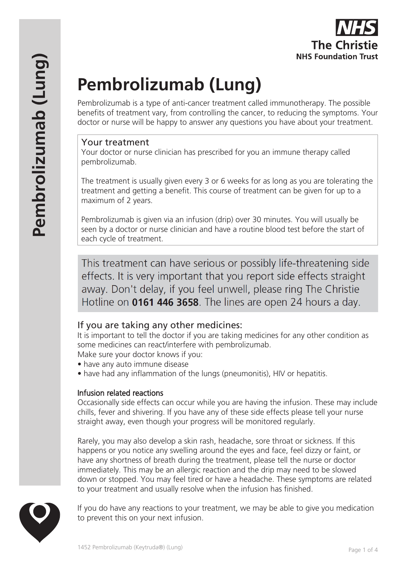# **Pembrolizumab (Lung)**

Pembrolizumab is a type of anti-cancer treatment called immunotherapy. The possible benefits of treatment vary, from controlling the cancer, to reducing the symptoms. Your doctor or nurse will be happy to answer any questions you have about your treatment.

#### Your treatment

**Pembrolizumab (Lung)**

Pembrolizumab (Lung)

Your doctor or nurse clinician has prescribed for you an immune therapy called pembrolizumab.

The treatment is usually given every 3 or 6 weeks for as long as you are tolerating the treatment and getting a benefit. This course of treatment can be given for up to a maximum of 2 years.

Pembrolizumab is given via an infusion (drip) over 30 minutes. You will usually be seen by a doctor or nurse clinician and have a routine blood test before the start of each cycle of treatment.

This treatment can have serious or possibly life-threatening side effects. It is very important that you report side effects straight away. Don't delay, if you feel unwell, please ring The Christie Hotline on **0161 446 3658**. The lines are open 24 hours a day.

# If you are taking any other medicines:

It is important to tell the doctor if you are taking medicines for any other condition as some medicines can react/interfere with pembrolizumab.

Make sure your doctor knows if you:

- have any auto immune disease
- have had any inflammation of the lungs (pneumonitis), HIV or hepatitis.

#### Infusion related reactions

Occasionally side effects can occur while you are having the infusion. These may include chills, fever and shivering. If you have any of these side effects please tell your nurse straight away, even though your progress will be monitored regularly.

Rarely, you may also develop a skin rash, headache, sore throat or sickness. If this happens or you notice any swelling around the eyes and face, feel dizzy or faint, or have any shortness of breath during the treatment, please tell the nurse or doctor immediately. This may be an allergic reaction and the drip may need to be slowed down or stopped. You may feel tired or have a headache. These symptoms are related to your treatment and usually resolve when the infusion has finished.



If you do have any reactions to your treatment, we may be able to give you medication to prevent this on your next infusion.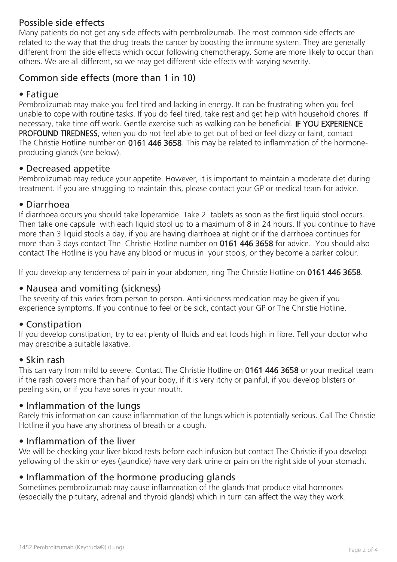# Possible side effects

Many patients do not get any side effects with pembrolizumab. The most common side effects are related to the way that the drug treats the cancer by boosting the immune system. They are generally different from the side effects which occur following chemotherapy. Some are more likely to occur than others. We are all different, so we may get different side effects with varying severity.

# Common side effects (more than 1 in 10)

### • Fatigue

Pembrolizumab may make you feel tired and lacking in energy. It can be frustrating when you feel unable to cope with routine tasks. If you do feel tired, take rest and get help with household chores. If necessary, take time off work. Gentle exercise such as walking can be beneficial. IF YOU EXPERIENCE PROFOUND TIREDNESS, when you do not feel able to get out of bed or feel dizzy or faint, contact The Christie Hotline number on 0161 446 3658. This may be related to inflammation of the hormoneproducing glands (see below).

#### • Decreased appetite

Pembrolizumab may reduce your appetite. However, it is important to maintain a moderate diet during treatment. If you are struggling to maintain this, please contact your GP or medical team for advice.

#### • Diarrhoea

If diarrhoea occurs you should take loperamide. Take 2 tablets as soon as the first liquid stool occurs. Then take one capsule with each liquid stool up to a maximum of 8 in 24 hours. If you continue to have more than 3 liquid stools a day, if you are having diarrhoea at night or if the diarrhoea continues for more than 3 days contact The Christie Hotline number on 0161 446 3658 for advice. You should also contact The Hotline is you have any blood or mucus in your stools, or they become a darker colour.

If you develop any tenderness of pain in your abdomen, ring The Christie Hotline on 0161 446 3658.

#### • Nausea and vomiting (sickness)

The severity of this varies from person to person. Anti-sickness medication may be given if you experience symptoms. If you continue to feel or be sick, contact your GP or The Christie Hotline.

#### • Constipation

If you develop constipation, try to eat plenty of fluids and eat foods high in fibre. Tell your doctor who may prescribe a suitable laxative.

#### • Skin rash

This can vary from mild to severe. Contact The Christie Hotline on 0161 446 3658 or your medical team if the rash covers more than half of your body, if it is very itchy or painful, if you develop blisters or peeling skin, or if you have sores in your mouth.

## • Inflammation of the lungs

Rarely this information can cause inflammation of the lungs which is potentially serious. Call The Christie Hotline if you have any shortness of breath or a cough.

#### • Inflammation of the liver

We will be checking your liver blood tests before each infusion but contact The Christie if you develop yellowing of the skin or eyes (jaundice) have very dark urine or pain on the right side of your stomach.

#### • Inflammation of the hormone producing glands

Sometimes pembrolizumab may cause inflammation of the glands that produce vital hormones (especially the pituitary, adrenal and thyroid glands) which in turn can affect the way they work.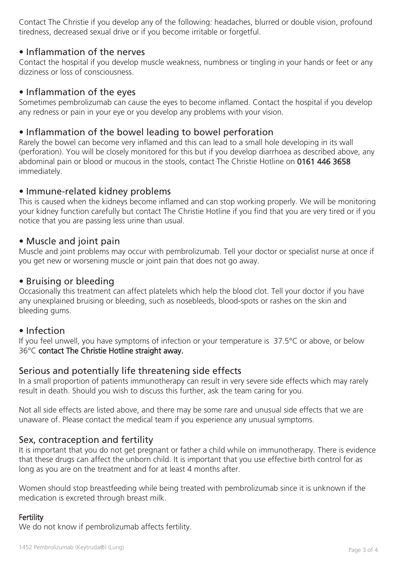Contact The Christie if you develop any of the following: headaches, blurred or double vision, profound tiredness, decreased sexual drive or if you become irritable or forgetful.

### • Inflammation of the nerves

Contact the hospital if you develop muscle weakness, numbness or tingling in your hands or feet or any dizziness or loss of consciousness.

### • Inflammation of the eyes

Sometimes pembrolizumab can cause the eyes to become inflamed. Contact the hospital if you develop any redness or pain in your eye or you develop any problems with your vision.

## • Inflammation of the bowel leading to bowel perforation

Rarely the bowel can become very inflamed and this can lead to a small hole developing in its wall (perforation). You will be closely monitored for this but if you develop diarrhoea as described above, any abdominal pain or blood or mucous in the stools, contact The Christie Hotline on 0161 446 3658 immediately.

## • Immune-related kidney problems

This is caused when the kidneys become inflamed and can stop working properly. We will be monitoring your kidney function carefully but contact The Christie Hotline if you find that you are very tired or if you notice that you are passing less urine than usual.

## • Muscle and joint pain

Muscle and joint problems may occur with pembrolizumab. Tell your doctor or specialist nurse at once if you get new or worsening muscle or joint pain that does not go away.

#### • Bruising or bleeding

Occasionally this treatment can affect platelets which help the blood clot. Tell your doctor if you have any unexplained bruising or bleeding, such as nosebleeds, blood-spots or rashes on the skin and bleeding gums.

#### • Infection

If you feel unwell, you have symptoms of infection or your temperature is 37.5°C or above, or below 36°C contact The Christie Hotline straight away.

## Serious and potentially life threatening side effects

In a small proportion of patients immunotherapy can result in very severe side effects which may rarely result in death. Should you wish to discuss this further, ask the team caring for you.

Not all side effects are listed above, and there may be some rare and unusual side effects that we are unaware of. Please contact the medical team if you experience any unusual symptoms.

## Sex, contraception and fertility

It is important that you do not get pregnant or father a child while on immunotherapy. There is evidence that these drugs can affect the unborn child. It is important that you use effective birth control for as long as you are on the treatment and for at least 4 months after.

Women should stop breastfeeding while being treated with pembrolizumab since it is unknown if the medication is excreted through breast milk.

#### **Fertility**

We do not know if pembrolizumab affects fertility.